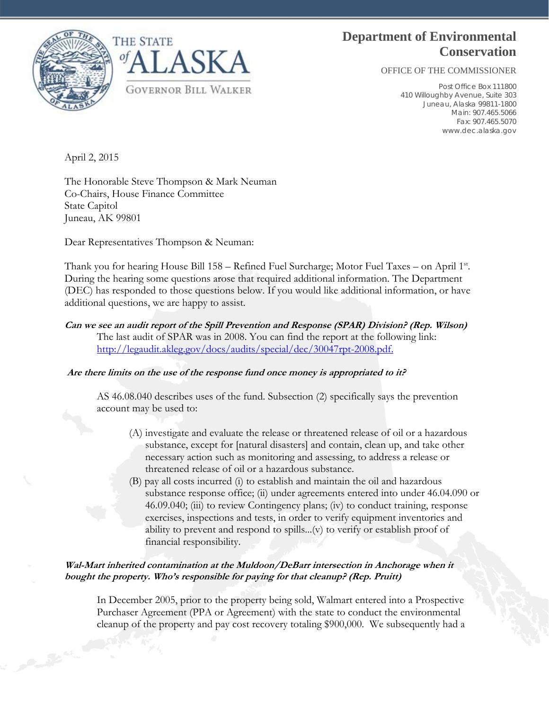# **Department of Environmental Conservation**

OFFICE OF THE COMMISSIONER

Post Office Box 111800 410 Willoughby Avenue, Suite 303 Juneau, Alaska 99811-1800 Main: 907.465.5066 Fax: 907.465.5070 www.dec.alaska.gov





April 2, 2015

The Honorable Steve Thompson & Mark Neuman Co-Chairs, House Finance Committee State Capitol Juneau, AK 99801

Dear Representatives Thompson & Neuman:

Thank you for hearing House Bill 158 – Refined Fuel Surcharge; Motor Fuel Taxes – on April 1st. During the hearing some questions arose that required additional information. The Department (DEC) has responded to those questions below. If you would like additional information, or have additional questions, we are happy to assist.

## **Can we see an audit report of the Spill Prevention and Response (SPAR) Division? (Rep. Wilson)**  The last audit of SPAR was in 2008. You can find the report at the following link: http://legaudit.akleg.gov/docs/audits/special/dec/30047rpt-2008.pdf.

## **Are there limits on the use of the response fund once money is appropriated to it?**

AS 46.08.040 describes uses of the fund. Subsection (2) specifically says the prevention account may be used to:

- (A) investigate and evaluate the release or threatened release of oil or a hazardous substance, except for [natural disasters] and contain, clean up, and take other necessary action such as monitoring and assessing, to address a release or threatened release of oil or a hazardous substance.
- (B) pay all costs incurred (i) to establish and maintain the oil and hazardous substance response office; (ii) under agreements entered into under 46.04.090 or 46.09.040; (iii) to review Contingency plans; (iv) to conduct training, response exercises, inspections and tests, in order to verify equipment inventories and ability to prevent and respond to spills...(v) to verify or establish proof of financial responsibility.

## **Wal-Mart inherited contamination at the Muldoon/DeBarr intersection in Anchorage when it bought the property. Who's responsible for paying for that cleanup? (Rep. Pruitt)**

In December 2005, prior to the property being sold, Walmart entered into a Prospective Purchaser Agreement (PPA or Agreement) with the state to conduct the environmental cleanup of the property and pay cost recovery totaling \$900,000. We subsequently had a